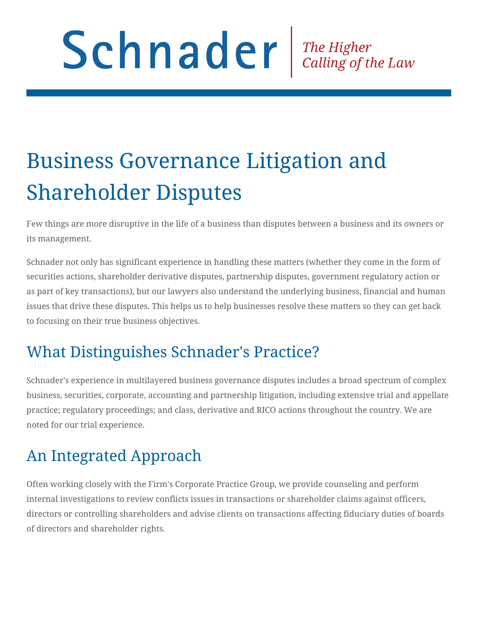# Schnader The Higher Calling of the Law

# Business Governance Litigation and Shareholder Disputes

Few things are more disruptive in the life of a business than disputes between a business and its owners or its management.

Schnader not only has significant experience in handling these matters (whether they come in the form of securities actions, shareholder derivative disputes, partnership disputes, government regulatory action or as part of key transactions), but our lawyers also understand the underlying business, financial and human issues that drive these disputes. This helps us to help businesses resolve these matters so they can get back to focusing on their true business objectives.

# What Distinguishes Schnader's Practice?

Schnader's experience in multilayered business governance disputes includes a broad spectrum of complex business, securities, corporate, accounting and partnership litigation, including extensive trial and appellate practice; regulatory proceedings; and class, derivative and RICO actions throughout the country. We are noted for our trial experience.

# An Integrated Approach

Often working closely with the Firm's Corporate Practice Group, we provide counseling and perform internal investigations to review conflicts issues in transactions or shareholder claims against officers, directors or controlling shareholders and advise clients on transactions affecting fiduciary duties of boards of directors and shareholder rights.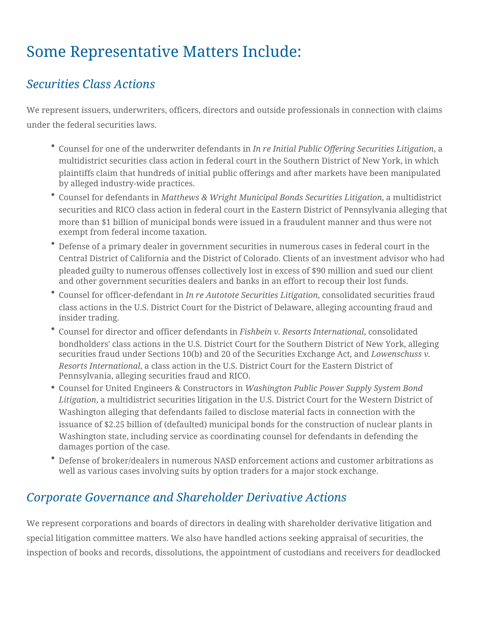### Some Representative Matters Include:

#### *Securities Class Actions*

We represent issuers, underwriters, officers, directors and outside professionals in connection with claims under the federal securities laws.

- Counsel for one of the underwriter defendants in *In re Initial Public Offering Securities Litigation*, a multidistrict securities class action in federal court in the Southern District of New York, in which plaintiffs claim that hundreds of initial public offerings and after markets have been manipulated by alleged industry-wide practices.
- Counsel for defendants in *Matthews & Wright Municipal Bonds Securities Litigation*, a multidistrict securities and RICO class action in federal court in the Eastern District of Pennsylvania alleging that more than \$1 billion of municipal bonds were issued in a fraudulent manner and thus were not exempt from federal income taxation.
- Defense of a primary dealer in government securities in numerous cases in federal court in the Central District of California and the District of Colorado. Clients of an investment advisor who had pleaded guilty to numerous offenses collectively lost in excess of \$90 million and sued our client and other government securities dealers and banks in an effort to recoup their lost funds.
- Counsel for officer-defendant in *In re Autotote Securities Litigation*, consolidated securities fraud class actions in the U.S. District Court for the District of Delaware, alleging accounting fraud and insider trading.
- Counsel for director and officer defendants in *Fishbein v. Resorts International*, consolidated bondholders' class actions in the U.S. District Court for the Southern District of New York, alleging securities fraud under Sections 10(b) and 20 of the Securities Exchange Act, and *Lowenschuss v. Resorts International*, a class action in the U.S. District Court for the Eastern District of Pennsylvania, alleging securities fraud and RICO.
- Counsel for United Engineers & Constructors in *Washington Public Power Supply System Bond Litigation*, a multidistrict securities litigation in the U.S. District Court for the Western District of Washington alleging that defendants failed to disclose material facts in connection with the issuance of \$2.25 billion of (defaulted) municipal bonds for the construction of nuclear plants in Washington state, including service as coordinating counsel for defendants in defending the damages portion of the case.
- Defense of broker/dealers in numerous NASD enforcement actions and customer arbitrations as well as various cases involving suits by option traders for a major stock exchange.

#### *Corporate Governance and Shareholder Derivative Actions*

We represent corporations and boards of directors in dealing with shareholder derivative litigation and special litigation committee matters. We also have handled actions seeking appraisal of securities, the inspection of books and records, dissolutions, the appointment of custodians and receivers for deadlocked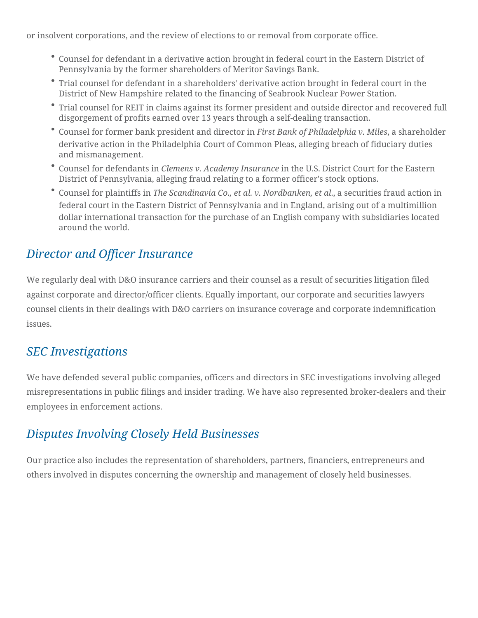or insolvent corporations, and the review of elections to or removal from corporate office.

- Counsel for defendant in a derivative action brought in federal court in the Eastern District of Pennsylvania by the former shareholders of Meritor Savings Bank.
- Trial counsel for defendant in a shareholders' derivative action brought in federal court in the District of New Hampshire related to the financing of Seabrook Nuclear Power Station.
- Trial counsel for REIT in claims against its former president and outside director and recovered full disgorgement of profits earned over 13 years through a self-dealing transaction.
- Counsel for former bank president and director in *First Bank of Philadelphia v. Miles*, a shareholder derivative action in the Philadelphia Court of Common Pleas, alleging breach of fiduciary duties and mismanagement.
- Counsel for defendants in *Clemens v. Academy Insurance* in the U.S. District Court for the Eastern District of Pennsylvania, alleging fraud relating to a former officer's stock options.
- Counsel for plaintiffs in *The Scandinavia Co., et al. v. Nordbanken, et al*., a securities fraud action in federal court in the Eastern District of Pennsylvania and in England, arising out of a multimillion dollar international transaction for the purchase of an English company with subsidiaries located around the world.

#### *Director and Officer Insurance*

We regularly deal with D&O insurance carriers and their counsel as a result of securities litigation filed against corporate and director/officer clients. Equally important, our corporate and securities lawyers counsel clients in their dealings with D&O carriers on insurance coverage and corporate indemnification issues.

#### *SEC Investigations*

We have defended several public companies, officers and directors in SEC investigations involving alleged misrepresentations in public filings and insider trading. We have also represented broker-dealers and their employees in enforcement actions.

#### *Disputes Involving Closely Held Businesses*

Our practice also includes the representation of shareholders, partners, financiers, entrepreneurs and others involved in disputes concerning the ownership and management of closely held businesses.